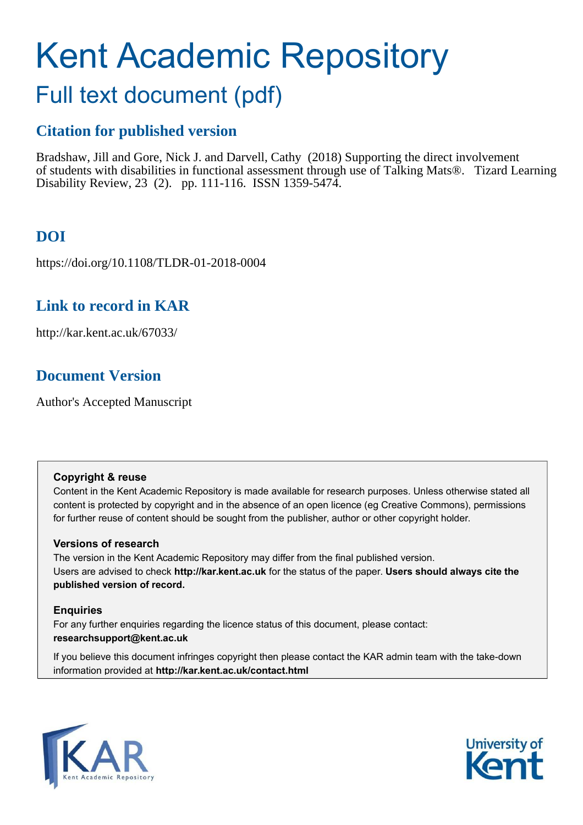# Kent Academic Repository

## Full text document (pdf)

### **Citation for published version**

Bradshaw, Jill and Gore, Nick J. and Darvell, Cathy (2018) Supporting the direct involvement of students with disabilities in functional assessment through use of Talking Mats®. Tizard Learning Disability Review, 23 (2). pp. 111-116. ISSN 1359-5474.

## **DOI**

https://doi.org/10.1108/TLDR-01-2018-0004

## **Link to record in KAR**

http://kar.kent.ac.uk/67033/

## **Document Version**

Author's Accepted Manuscript

#### **Copyright & reuse**

Content in the Kent Academic Repository is made available for research purposes. Unless otherwise stated all content is protected by copyright and in the absence of an open licence (eg Creative Commons), permissions for further reuse of content should be sought from the publisher, author or other copyright holder.

#### **Versions of research**

The version in the Kent Academic Repository may differ from the final published version. Users are advised to check **http://kar.kent.ac.uk** for the status of the paper. **Users should always cite the published version of record.**

#### **Enquiries**

For any further enquiries regarding the licence status of this document, please contact: **researchsupport@kent.ac.uk**

If you believe this document infringes copyright then please contact the KAR admin team with the take-down information provided at **http://kar.kent.ac.uk/contact.html**



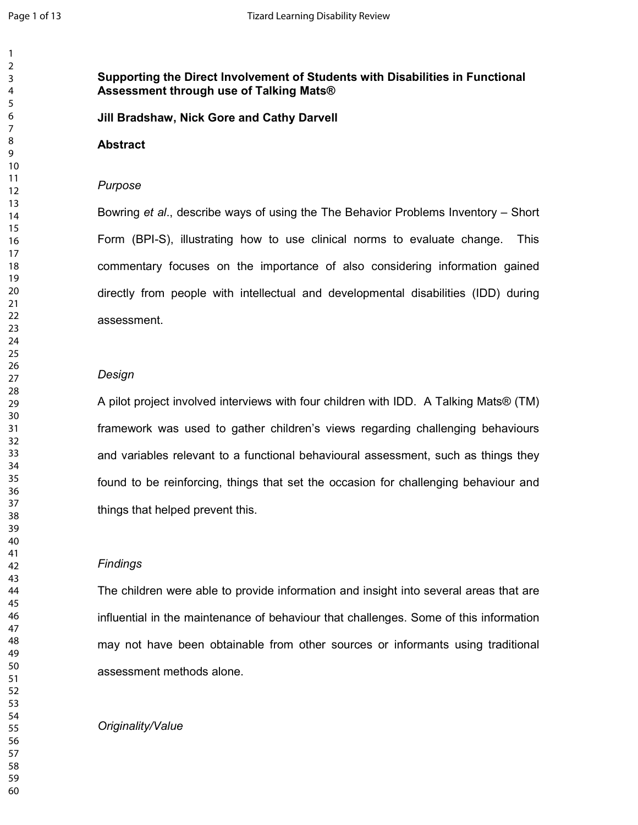#### Supporting the Direct Involvement of Students with Disabilities in Functional  $\blacksquare$  Assessment through use of Talking Mats®

**Jill Bradshaw, Nick Gore and Cathy Darvell** 

#### **Abstract**

#### Purpose

Bowring et al., describe ways of using the The Behavior Problems Inventory – Short Form (BPI-S), illustrating how to use clinical norms to evaluate change. This commentary focuses on the importance of also considering information gained directly from people with intellectual and developmental disabilities (IDD) during assessment.

#### **Design**

A pilot project involved interviews with four children with IDD. A Talking Mats® (TM) framework was used to gather children's views regarding challenging behaviours and variables relevant to a functional behavioural assessment, such as things they found to be reinforcing, things that set the occasion for challenging behaviour and things that helped prevent this.

#### **Findings**

The children were able to provide information and insight into several areas that are influential in the maintenance of behaviour that challenges. Some of this information may not have been obtainable from other sources or informants using traditional assessment methods alone.

#### *Originality/Value*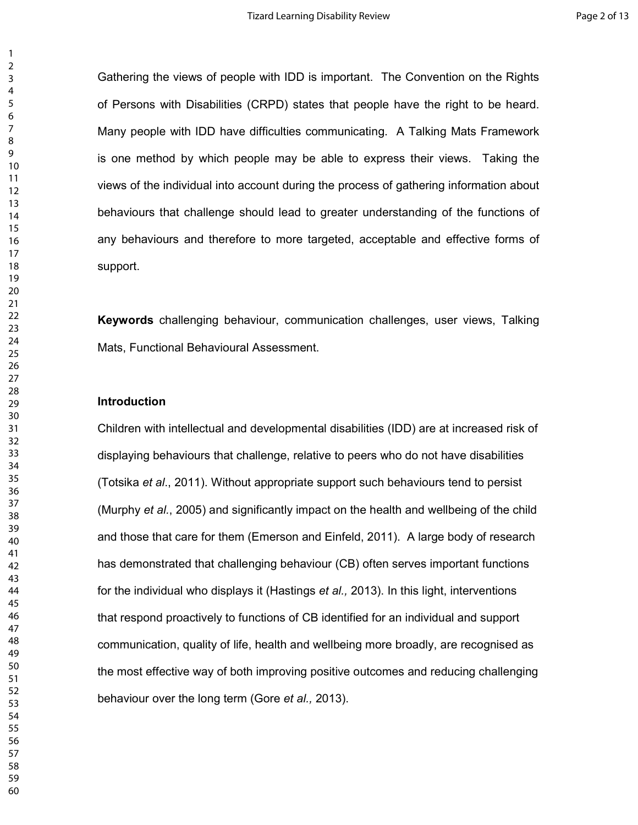Gathering the views of people with IDD is important. The Convention on the Rights of Persons with Disabilities (CRPD) states that people have the right to be heard. Many people with IDD have difficulties communicating. A Talking Mats Framework is one method by which people may be able to express their views. Taking the views of the individual into account during the process of gathering information about behaviours that challenge should lead to greater understanding of the functions of any behaviours and therefore to more targeted, acceptable and effective forms of support.

**Keywords** challenging behaviour, communication challenges, user views, Talking Mats, Functional Behavioural Assessment.

#### <u>Introduction</u>

Children with intellectual and developmental disabilities (IDD) are at increased risk of displaying behaviours that challenge, relative to peers who do not have disabilities (Totsika et al., 2011). Without appropriate support such behaviours tend to persist (Murphy et al., 2005) and significantly impact on the health and wellbeing of the child and those that care for them (Emerson and Einfeld, 2011). A large body of research has demonstrated that challenging behaviour (CB) often serves important functions for the individual who displays it (Hastings et al., 2013). In this light, interventions that respond proactively to functions of CB identified for an individual and support communication, quality of life, health and wellbeing more broadly, are recognised as the most effective way of both improving positive outcomes and reducing challenging behaviour over the long term (Gore *et al.,* 2013).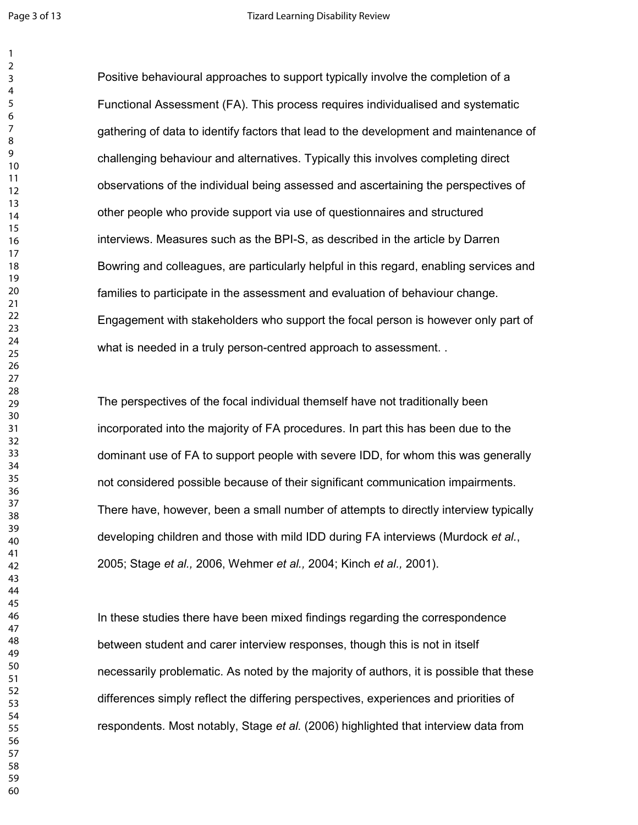$\mathbf{1}$ 

Positive behavioural approaches to support typically involve the completion of a Functional Assessment (FA). This process requires individualised and systematic gathering of data to identify factors that lead to the development and maintenance of challenging behaviour and alternatives. Typically this involves completing direct observations of the individual being assessed and ascertaining the perspectives of other people who provide support via use of questionnaires and structured interviews. Measures such as the BPI-S, as described in the article by Darren Bowring and colleagues, are particularly helpful in this regard, enabling services and families to participate in the assessment and evaluation of behaviour change. Engagement with stakeholders who support the focal person is however only part of what is needed in a truly person-centred approach to assessment...

The perspectives of the focal individual themself have not traditionally been incorporated into the majority of FA procedures. In part this has been due to the dominant use of FA to support people with severe IDD, for whom this was generally not considered possible because of their significant communication impairments. There have, however, been a small number of attempts to directly interview typically developing children and those with mild IDD during FA interviews (Murdock et al., 2005; Stage *et al.,* 2006, Wehmer *et al.,* 2004; Kinch *et al.,* 2001).

In these studies there have been mixed findings regarding the correspondence between student and carer interview responses, though this is not in itself necessarily problematic. As noted by the majority of authors, it is possible that these differences simply reflect the differing perspectives, experiences and priorities of respondents. Most notably, Stage et al. (2006) highlighted that interview data from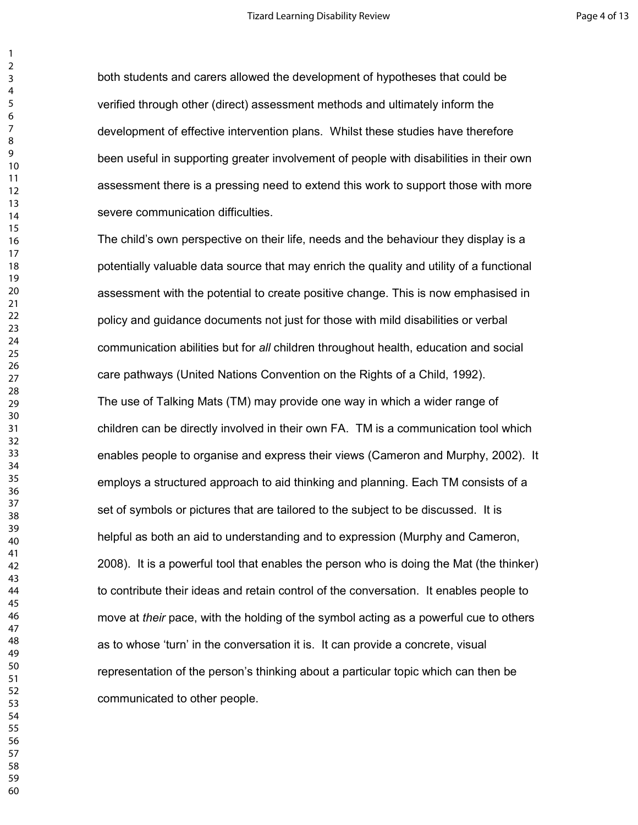both students and carers allowed the development of hypotheses that could be verified through other (direct) assessment methods and ultimately inform the development of effective intervention plans. Whilst these studies have therefore been useful in supporting greater involvement of people with disabilities in their own assessment there is a pressing need to extend this work to support those with more severe communication difficulties.

The child's own perspective on their life, needs and the behaviour they display is a potentially valuable data source that may enrich the quality and utility of a functional assessment with the potential to create positive change. This is now emphasised in policy and guidance documents not just for those with mild disabilities or verbal communication abilities but for all children throughout health, education and social care pathways (United Nations Convention on the Rights of a Child, 1992). The use of Talking Mats (TM) may provide one way in which a wider range of children can be directly involved in their own FA. TM is a communication tool which enables people to organise and express their views (Cameron and Murphy, 2002). It employs a structured approach to aid thinking and planning. Each TM consists of a set of symbols or pictures that are tailored to the subject to be discussed. It is helpful as both an aid to understanding and to expression (Murphy and Cameron, 2008). It is a powerful tool that enables the person who is doing the Mat (the thinker) to contribute their ideas and retain control of the conversation. It enables people to move at their pace, with the holding of the symbol acting as a powerful cue to others as to whose 'turn' in the conversation it is. It can provide a concrete, visual representation of the person's thinking about a particular topic which can then be communicated to other people.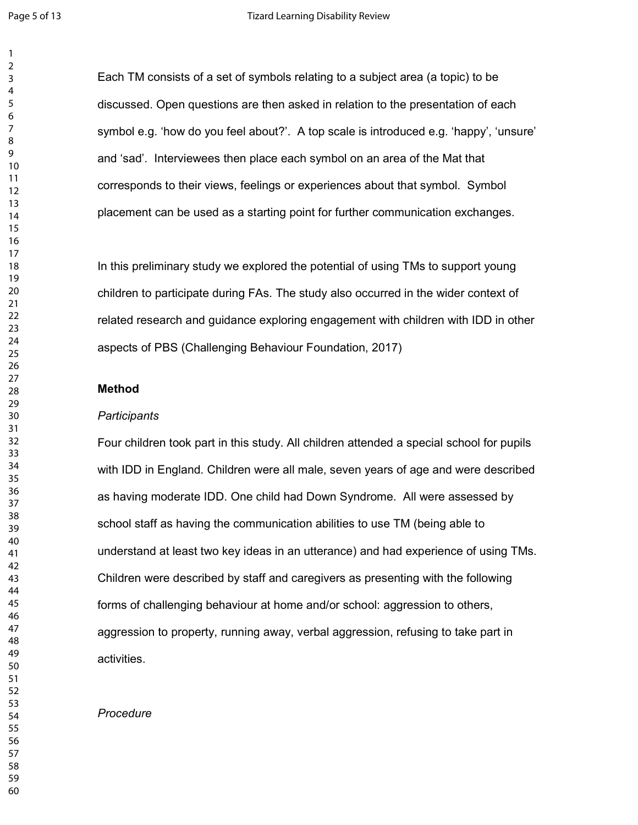Each TM consists of a set of symbols relating to a subject area (a topic) to be discussed. Open questions are then asked in relation to the presentation of each symbol e.g. 'how do you feel about?'. A top scale is introduced e.g. 'happy', 'unsure' and 'sad'. Interviewees then place each symbol on an area of the Mat that corresponds to their views, feelings or experiences about that symbol. Symbol placement can be used as a starting point for further communication exchanges.

In this preliminary study we explored the potential of using TMs to support young children to participate during FAs. The study also occurred in the wider context of related research and guidance exploring engagement with children with IDD in other aspects of PBS (Challenging Behaviour Foundation, 2017)

#### **Method**

#### 

Four children took part in this study. All children attended a special school for pupils with IDD in England. Children were all male, seven years of age and were described as having moderate IDD. One child had Down Syndrome. All were assessed by school staff as having the communication abilities to use TM (being able to understand at least two key ideas in an utterance) and had experience of using TMs. Children were described by staff and caregivers as presenting with the following forms of challenging behaviour at home and/or school: aggression to others, aggression to property, running away, verbal aggression, refusing to take part in activities.

#### Procedure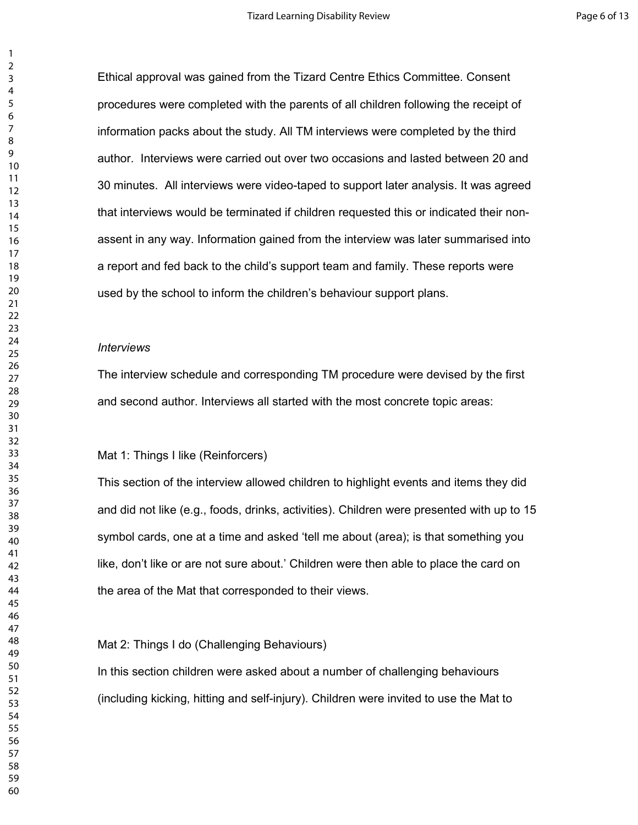Ethical approval was gained from the Tizard Centre Ethics Committee. Consent procedures were completed with the parents of all children following the receipt of information packs about the study. All TM interviews were completed by the third author. Interviews were carried out over two occasions and lasted between 20 and 30 minutes. All interviews were video-taped to support later analysis. It was agreed that interviews would be terminated if children requested this or indicated their nonassent in any way. Information gained from the interview was later summarised into a report and fed back to the child's support team and family. These reports were used by the school to inform the children's behaviour support plans.

#### *<u>Interviews</u>*

The interview schedule and corresponding TM procedure were devised by the first and second author. Interviews all started with the most concrete topic areas:

#### Mat 1: Things I like (Reinforcers)

This section of the interview allowed children to highlight events and items they did and did not like (e.g., foods, drinks, activities). Children were presented with up to 15 symbol cards, one at a time and asked 'tell me about (area); is that something you like, don't like or are not sure about.' Children were then able to place the card on the area of the Mat that corresponded to their views.

#### Mat 2: Things I do (Challenging Behaviours)

In this section children were asked about a number of challenging behaviours (including kicking, hitting and self-injury). Children were invited to use the Mat to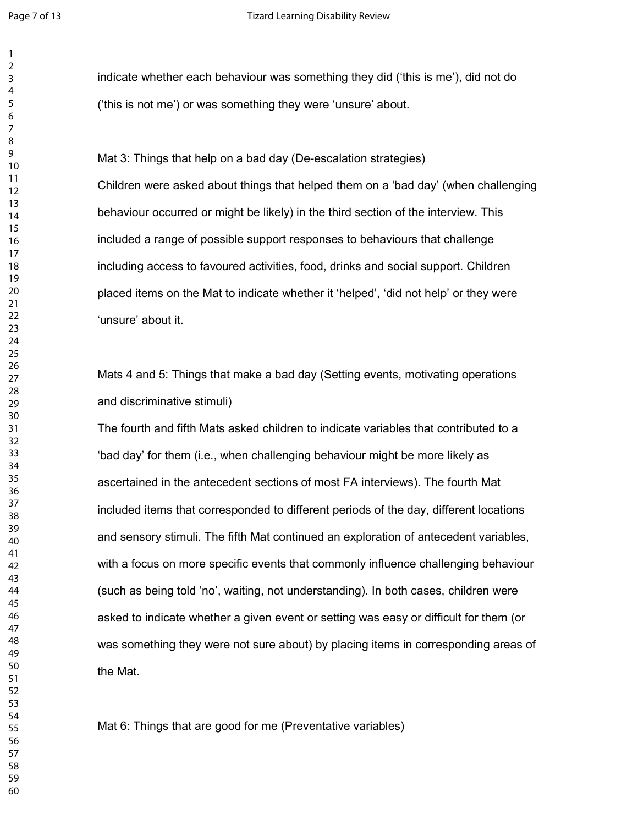indicate whether each behaviour was something they did ('this is me'), did not do ('this is not me') or was something they were 'unsure' about.

Mat 3: Things that help on a bad day (De-escalation strategies) Children were asked about things that helped them on a 'bad day' (when challenging behaviour occurred or might be likely) in the third section of the interview. This included a range of possible support responses to behaviours that challenge including access to favoured activities, food, drinks and social support. Children placed items on the Mat to indicate whether it 'helped', 'did not help' or they were 'unsure' about it.

Mats 4 and 5: Things that make a bad day (Setting events, motivating operations and discriminative stimuli)

The fourth and fifth Mats asked children to indicate variables that contributed to a 'bad day' for them (i.e., when challenging behaviour might be more likely as ascertained in the antecedent sections of most FA interviews). The fourth Mat included items that corresponded to different periods of the day, different locations and sensory stimuli. The fifth Mat continued an exploration of antecedent variables, with a focus on more specific events that commonly influence challenging behaviour (such as being told 'no', waiting, not understanding). In both cases, children were asked to indicate whether a given event or setting was easy or difficult for them (or was something they were not sure about) by placing items in corresponding areas of the Mat.

Mat 6: Things that are good for me (Preventative variables)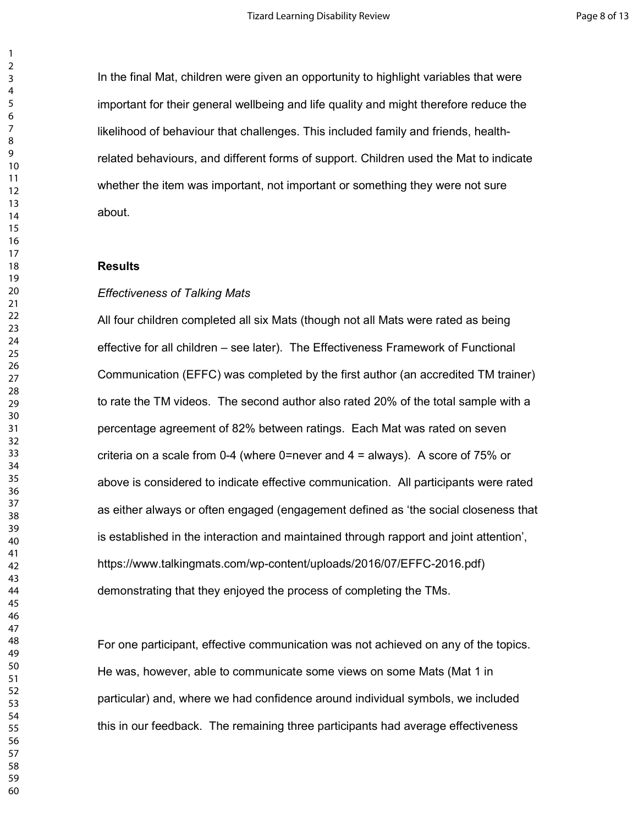In the final Mat, children were given an opportunity to highlight variables that were important for their general wellbeing and life quality and might therefore reduce the likelihood of behaviour that challenges. This included family and friends, healthrelated behaviours, and different forms of support. Children used the Mat to indicate whether the item was important, not important or something they were not sure about.

#### **Results**

#### *Effectiveness of Talking Mats*

All four children completed all six Mats (though not all Mats were rated as being effective for all children – see later). The Effectiveness Framework of Functional Communication (EFFC) was completed by the first author (an accredited TM trainer) to rate the TM videos. The second author also rated 20% of the total sample with a percentage agreement of 82% between ratings. Each Mat was rated on seven criteria on a scale from 0-4 (where 0=never and  $4$  = always). A score of 75% or above is considered to indicate effective communication. All participants were rated as either always or often engaged (engagement defined as 'the social closeness that is established in the interaction and maintained through rapport and joint attention', https://www.talkingmats.com/wp-content/uploads/2016/07/EFFC-2016.pdf) demonstrating that they enjoyed the process of completing the TMs.

For one participant, effective communication was not achieved on any of the topics. He was, however, able to communicate some views on some Mats (Mat 1 in particular) and, where we had confidence around individual symbols, we included this in our feedback. The remaining three participants had average effectiveness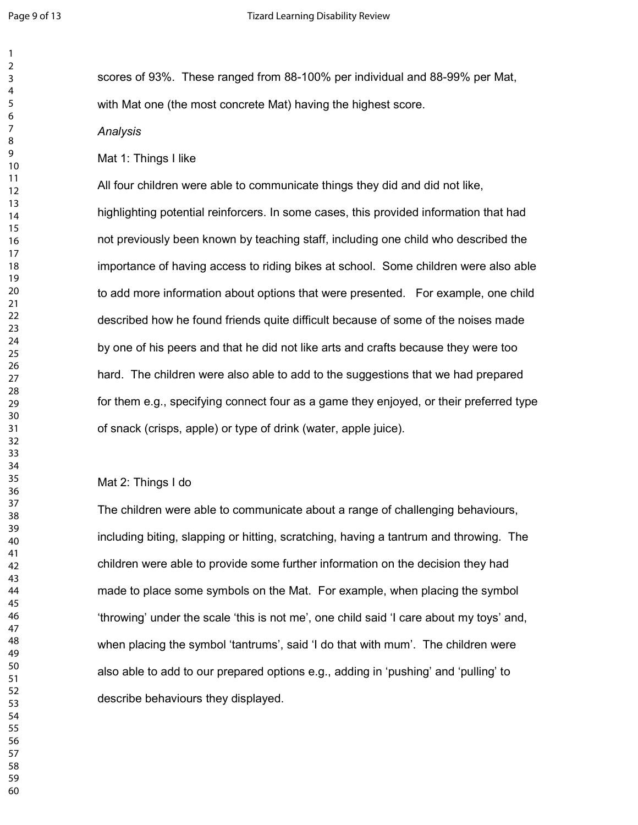scores of 93%. These ranged from 88-100% per individual and 88-99% per Mat, with Mat one (the most concrete Mat) having the highest score.

#### Analysis

#### Mat 1: Things I like

All four children were able to communicate things they did and did not like, highlighting potential reinforcers. In some cases, this provided information that had not previously been known by teaching staff, including one child who described the importance of having access to riding bikes at school. Some children were also able to add more information about options that were presented. For example, one child described how he found friends quite difficult because of some of the noises made by one of his peers and that he did not like arts and crafts because they were too hard. The children were also able to add to the suggestions that we had prepared for them e.g., specifying connect four as a game they enjoyed, or their preferred type of snack (crisps, apple) or type of drink (water, apple juice).

#### Mat 2: Things I do

The children were able to communicate about a range of challenging behaviours, including biting, slapping or hitting, scratching, having a tantrum and throwing. The children were able to provide some further information on the decision they had made to place some symbols on the Mat. For example, when placing the symbol 'throwing' under the scale 'this is not me', one child said 'I care about my toys' and, when placing the symbol 'tantrums', said 'I do that with mum'. The children were also able to add to our prepared options e.g., adding in 'pushing' and 'pulling' to describe behaviours they displayed.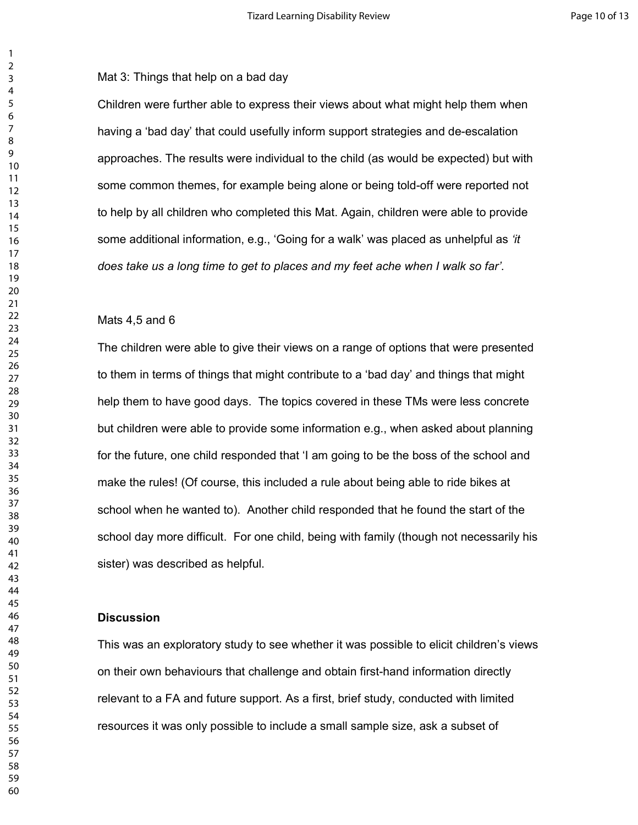Mat 3: Things that help on a bad day

Children were further able to express their views about what might help them when having a 'bad day' that could usefully inform support strategies and de-escalation approaches. The results were individual to the child (as would be expected) but with some common themes, for example being alone or being told-off were reported not to help by all children who completed this Mat. Again, children were able to provide some additional information, e.g., 'Going for a walk' was placed as unhelpful as *'it does take us a long time to get to places and my feet ache when I walk so far'.* 

#### Mats 4,5 and 6

The children were able to give their views on a range of options that were presented to them in terms of things that might contribute to a 'bad day' and things that might help them to have good days. The topics covered in these TMs were less concrete but children were able to provide some information e.g., when asked about planning for the future, one child responded that 'I am going to be the boss of the school and make the rules! (Of course, this included a rule about being able to ride bikes at school when he wanted to). Another child responded that he found the start of the school day more difficult. For one child, being with family (though not necessarily his sister) was described as helpful.

#### **Discussion**

This was an exploratory study to see whether it was possible to elicit children's views on their own behaviours that challenge and obtain first-hand information directly relevant to a FA and future support. As a first, brief study, conducted with limited resources it was only possible to include a small sample size, ask a subset of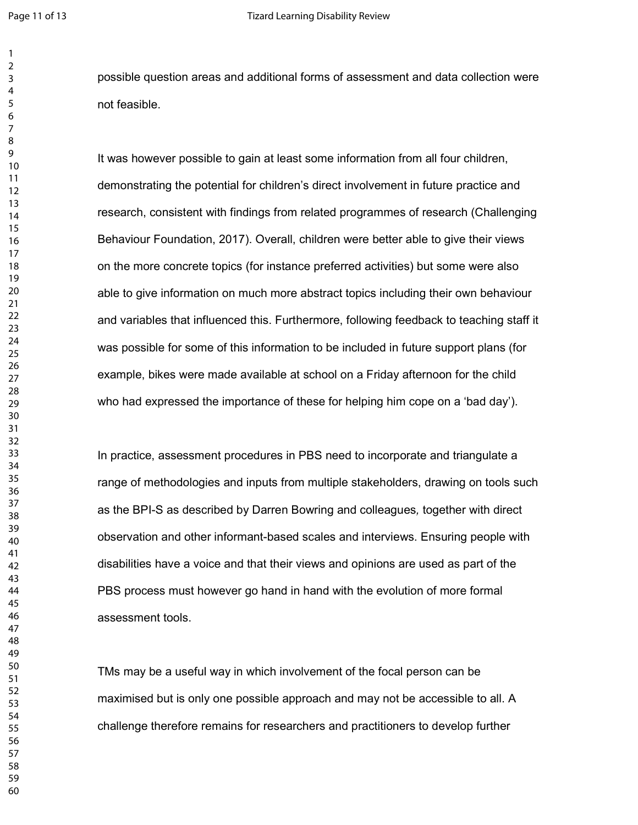possible question areas and additional forms of assessment and data collection were not feasible.

It was however possible to gain at least some information from all four children, demonstrating the potential for children's direct involvement in future practice and research, consistent with findings from related programmes of research (Challenging Behaviour Foundation, 2017). Overall, children were better able to give their views on the more concrete topics (for instance preferred activities) but some were also able to give information on much more abstract topics including their own behaviour and variables that influenced this. Furthermore, following feedback to teaching staff it was possible for some of this information to be included in future support plans (for example, bikes were made available at school on a Friday afternoon for the child who had expressed the importance of these for helping him cope on a 'bad day').

In practice, assessment procedures in PBS need to incorporate and triangulate a range of methodologies and inputs from multiple stakeholders, drawing on tools such as the BPI-S as described by Darren Bowring and colleagues, together with direct observation and other informant-based scales and interviews. Ensuring people with disabilities have a voice and that their views and opinions are used as part of the PBS process must however go hand in hand with the evolution of more formal assessment tools.

TMs may be a useful way in which involvement of the focal person can be maximised but is only one possible approach and may not be accessible to all. A challenge therefore remains for researchers and practitioners to develop further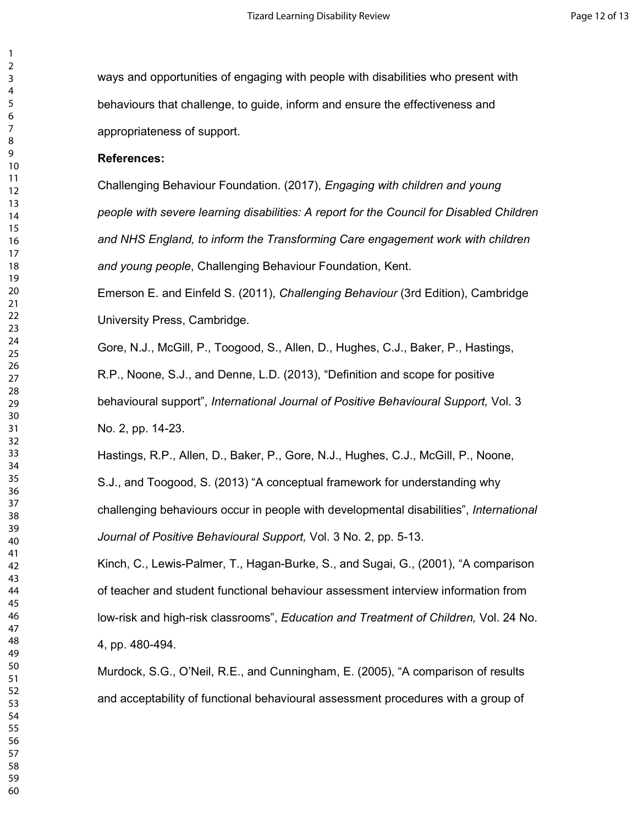ways and opportunities of engaging with people with disabilities who present with behaviours that challenge, to guide, inform and ensure the effectiveness and appropriateness of support.

#### References:

Challenging Behaviour Foundation. (2017), *Engaging with children and young* people with severe learning disabilities: A report for the Council for Disabled Children and NHS England, to inform the Transforming Care engagement work with children and young people, Challenging Behaviour Foundation, Kent.

Emerson E. and Einfeld S. (2011), Challenging Behaviour (3rd Edition), Cambridge University Press, Cambridge.

Gore, N.J., McGill, P., Toogood, S., Allen, D., Hughes, C.J., Baker, P., Hastings,

R.P., Noone, S.J., and Denne, L.D. (2013), "Definition and scope for positive behavioural support", International Journal of Positive Behavioural Support, Vol. 3 No. 2, pp. 14-23.

Hastings, R.P., Allen, D., Baker, P., Gore, N.J., Hughes, C.J., McGill, P., Noone, S.J., and Toogood, S. (2013) "A conceptual framework for understanding why challenging behaviours occur in people with developmental disabilities", International Journal of Positive Behavioural Support, Vol. 3 No. 2, pp. 5-13.

Kinch, C., Lewis-Palmer, T., Hagan-Burke, S., and Sugai, G., (2001), "A comparison of teacher and student functional behaviour assessment interview information from low-risk and high-risk classrooms", Education and Treatment of Children, Vol. 24 No. 4, pp. 480-494.

Murdock, S.G., O'Neil, R.E., and Cunningham, E. (2005), "A comparison of results and acceptability of functional behavioural assessment procedures with a group of